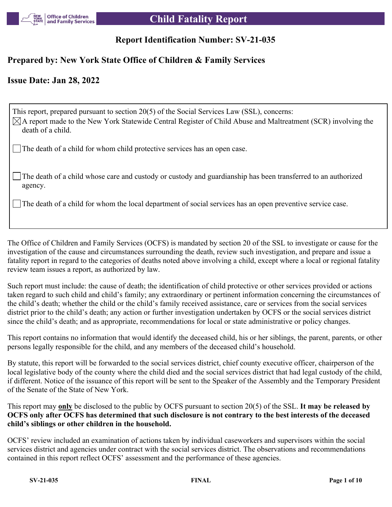

# **Report Identification Number: SV-21-035**

# **Prepared by: New York State Office of Children & Family Services**

## **Issue Date: Jan 28, 2022**

This report, prepared pursuant to section 20(5) of the Social Services Law (SSL), concerns:  $\boxtimes$ A report made to the New York Statewide Central Register of Child Abuse and Maltreatment (SCR) involving the death of a child. The death of a child for whom child protective services has an open case.

The death of a child whose care and custody or custody and guardianship has been transferred to an authorized agency.

The death of a child for whom the local department of social services has an open preventive service case.

The Office of Children and Family Services (OCFS) is mandated by section 20 of the SSL to investigate or cause for the investigation of the cause and circumstances surrounding the death, review such investigation, and prepare and issue a fatality report in regard to the categories of deaths noted above involving a child, except where a local or regional fatality review team issues a report, as authorized by law.

Such report must include: the cause of death; the identification of child protective or other services provided or actions taken regard to such child and child's family; any extraordinary or pertinent information concerning the circumstances of the child's death; whether the child or the child's family received assistance, care or services from the social services district prior to the child's death; any action or further investigation undertaken by OCFS or the social services district since the child's death; and as appropriate, recommendations for local or state administrative or policy changes.

This report contains no information that would identify the deceased child, his or her siblings, the parent, parents, or other persons legally responsible for the child, and any members of the deceased child's household.

By statute, this report will be forwarded to the social services district, chief county executive officer, chairperson of the local legislative body of the county where the child died and the social services district that had legal custody of the child, if different. Notice of the issuance of this report will be sent to the Speaker of the Assembly and the Temporary President of the Senate of the State of New York.

This report may **only** be disclosed to the public by OCFS pursuant to section 20(5) of the SSL. **It may be released by OCFS only after OCFS has determined that such disclosure is not contrary to the best interests of the deceased child's siblings or other children in the household.**

OCFS' review included an examination of actions taken by individual caseworkers and supervisors within the social services district and agencies under contract with the social services district. The observations and recommendations contained in this report reflect OCFS' assessment and the performance of these agencies.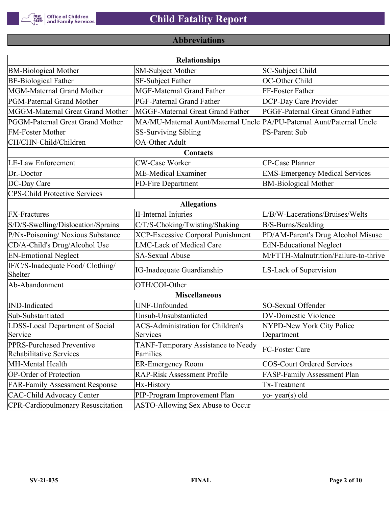

# **Abbreviations**

|                                                      | <b>Relationships</b>                                                  |                                       |
|------------------------------------------------------|-----------------------------------------------------------------------|---------------------------------------|
| <b>BM-Biological Mother</b>                          | <b>SM-Subject Mother</b>                                              | SC-Subject Child                      |
| <b>BF-Biological Father</b>                          | SF-Subject Father                                                     | OC-Other Child                        |
| MGM-Maternal Grand Mother                            | <b>MGF-Maternal Grand Father</b>                                      | FF-Foster Father                      |
| PGM-Paternal Grand Mother                            | PGF-Paternal Grand Father                                             | DCP-Day Care Provider                 |
| MGGM-Maternal Great Grand Mother                     | MGGF-Maternal Great Grand Father                                      | PGGF-Paternal Great Grand Father      |
| PGGM-Paternal Great Grand Mother                     | MA/MU-Maternal Aunt/Maternal Uncle PA/PU-Paternal Aunt/Paternal Uncle |                                       |
| <b>FM-Foster Mother</b>                              | <b>SS-Surviving Sibling</b>                                           | <b>PS-Parent Sub</b>                  |
| CH/CHN-Child/Children                                | <b>OA-Other Adult</b>                                                 |                                       |
|                                                      | Contacts                                                              |                                       |
| <b>LE-Law Enforcement</b>                            | <b>CW-Case Worker</b>                                                 | CP-Case Planner                       |
| Dr.-Doctor                                           | <b>ME-Medical Examiner</b>                                            | <b>EMS-Emergency Medical Services</b> |
| DC-Day Care                                          | FD-Fire Department                                                    | <b>BM-Biological Mother</b>           |
| <b>CPS-Child Protective Services</b>                 |                                                                       |                                       |
|                                                      | <b>Allegations</b>                                                    |                                       |
| <b>FX-Fractures</b>                                  | <b>II-Internal Injuries</b>                                           | L/B/W-Lacerations/Bruises/Welts       |
| S/D/S-Swelling/Dislocation/Sprains                   | C/T/S-Choking/Twisting/Shaking                                        | B/S-Burns/Scalding                    |
| P/Nx-Poisoning/ Noxious Substance                    | <b>XCP-Excessive Corporal Punishment</b>                              | PD/AM-Parent's Drug Alcohol Misuse    |
| CD/A-Child's Drug/Alcohol Use                        | <b>LMC-Lack of Medical Care</b>                                       | <b>EdN-Educational Neglect</b>        |
| <b>EN-Emotional Neglect</b>                          | <b>SA-Sexual Abuse</b>                                                | M/FTTH-Malnutrition/Failure-to-thrive |
| IF/C/S-Inadequate Food/ Clothing/<br>Shelter         | <b>IG-Inadequate Guardianship</b>                                     | LS-Lack of Supervision                |
| Ab-Abandonment                                       | OTH/COI-Other                                                         |                                       |
|                                                      | <b>Miscellaneous</b>                                                  |                                       |
| <b>IND-Indicated</b>                                 | UNF-Unfounded                                                         | SO-Sexual Offender                    |
| Sub-Substantiated                                    | Unsub-Unsubstantiated                                                 | <b>DV-Domestic Violence</b>           |
| LDSS-Local Department of Social                      | <b>ACS-Administration for Children's</b>                              | NYPD-New York City Police             |
| Service                                              | Services                                                              | Department                            |
| PPRS-Purchased Preventive<br>Rehabilitative Services | TANF-Temporary Assistance to Needy<br>Families                        | FC-Foster Care                        |
| MH-Mental Health                                     | <b>ER-Emergency Room</b>                                              | COS-Court Ordered Services            |
| <b>OP-Order of Protection</b>                        | <b>RAP-Risk Assessment Profile</b>                                    | FASP-Family Assessment Plan           |
| <b>FAR-Family Assessment Response</b>                | Hx-History                                                            | Tx-Treatment                          |
| <b>CAC-Child Advocacy Center</b>                     | PIP-Program Improvement Plan                                          | $ yo-year(s)$ old                     |
| <b>CPR-Cardiopulmonary Resuscitation</b>             | ASTO-Allowing Sex Abuse to Occur                                      |                                       |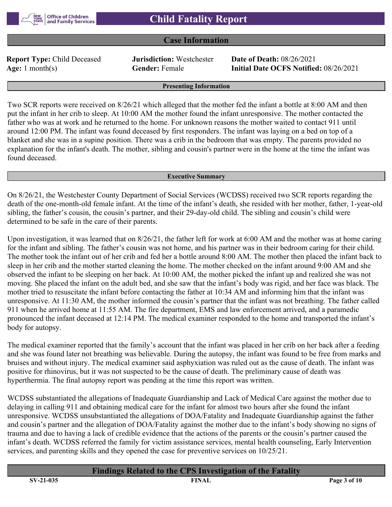## **Case Information**

**Report Type:** Child Deceased **Jurisdiction:** Westchester **Date of Death:** 08/26/2021

**Age:** 1 month(s) **Gender:** Female **Initial Date OCFS Notified:** 08/26/2021

#### **Presenting Information**

Two SCR reports were received on 8/26/21 which alleged that the mother fed the infant a bottle at 8:00 AM and then put the infant in her crib to sleep. At 10:00 AM the mother found the infant unresponsive. The mother contacted the father who was at work and he returned to the home. For unknown reasons the mother waited to contact 911 until around 12:00 PM. The infant was found deceased by first responders. The infant was laying on a bed on top of a blanket and she was in a supine position. There was a crib in the bedroom that was empty. The parents provided no explanation for the infant's death. The mother, sibling and cousin's partner were in the home at the time the infant was found deceased.

#### **Executive Summary**

On 8/26/21, the Westchester County Department of Social Services (WCDSS) received two SCR reports regarding the death of the one-month-old female infant. At the time of the infant's death, she resided with her mother, father, 1-year-old sibling, the father's cousin, the cousin's partner, and their 29-day-old child. The sibling and cousin's child were determined to be safe in the care of their parents.

Upon investigation, it was learned that on 8/26/21, the father left for work at 6:00 AM and the mother was at home caring for the infant and sibling. The father's cousin was not home, and his partner was in their bedroom caring for their child. The mother took the infant out of her crib and fed her a bottle around 8:00 AM. The mother then placed the infant back to sleep in her crib and the mother started cleaning the home. The mother checked on the infant around 9:00 AM and she observed the infant to be sleeping on her back. At 10:00 AM, the mother picked the infant up and realized she was not moving. She placed the infant on the adult bed, and she saw that the infant's body was rigid, and her face was black. The mother tried to resuscitate the infant before contacting the father at 10:34 AM and informing him that the infant was unresponsive. At 11:30 AM, the mother informed the cousin's partner that the infant was not breathing. The father called 911 when he arrived home at 11:55 AM. The fire department, EMS and law enforcement arrived, and a paramedic pronounced the infant deceased at 12:14 PM. The medical examiner responded to the home and transported the infant's body for autopsy.

The medical examiner reported that the family's account that the infant was placed in her crib on her back after a feeding and she was found later not breathing was believable. During the autopsy, the infant was found to be free from marks and bruises and without injury. The medical examiner said asphyxiation was ruled out as the cause of death. The infant was positive for rhinovirus, but it was not suspected to be the cause of death. The preliminary cause of death was hyperthermia. The final autopsy report was pending at the time this report was written.

WCDSS substantiated the allegations of Inadequate Guardianship and Lack of Medical Care against the mother due to delaying in calling 911 and obtaining medical care for the infant for almost two hours after she found the infant unresponsive. WCDSS unsubstantiated the allegations of DOA/Fatality and Inadequate Guardianship against the father and cousin's partner and the allegation of DOA/Fatality against the mother due to the infant's body showing no signs of trauma and due to having a lack of credible evidence that the actions of the parents or the cousin's partner caused the infant's death. WCDSS referred the family for victim assistance services, mental health counseling, Early Intervention services, and parenting skills and they opened the case for preventive services on 10/25/21.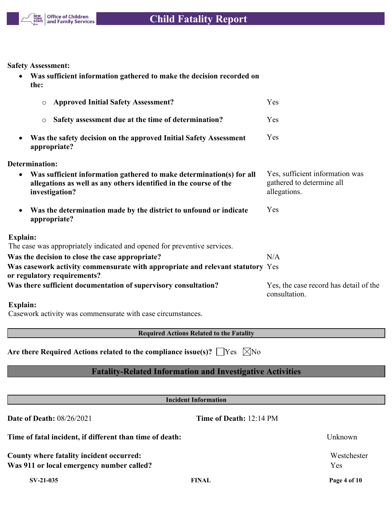

**Safety Assessment:**

 **Was sufficient information gathered to make the decision recorded on the:**

| <b>Approved Initial Safety Assessment?</b><br>$\circ$                                                                                                                    | Yes                                                                          |
|--------------------------------------------------------------------------------------------------------------------------------------------------------------------------|------------------------------------------------------------------------------|
| Safety assessment due at the time of determination?<br>$\circ$                                                                                                           | Yes                                                                          |
| Was the safety decision on the approved Initial Safety Assessment<br>appropriate?                                                                                        | Yes                                                                          |
| Determination:                                                                                                                                                           |                                                                              |
| Was sufficient information gathered to make determination(s) for all<br>$\bullet$<br>allegations as well as any others identified in the course of the<br>investigation? | Yes, sufficient information was<br>gathered to determine all<br>allegations. |
| Was the determination made by the district to unfound or indicate<br>$\bullet$<br>appropriate?                                                                           | Yes                                                                          |
| <b>Explain:</b>                                                                                                                                                          |                                                                              |
| The case was appropriately indicated and opened for preventive services.                                                                                                 |                                                                              |
| Was the decision to close the case appropriate?                                                                                                                          | N/A                                                                          |
| Was casework activity commensurate with appropriate and relevant statutory Yes<br>or regulatory requirements?                                                            |                                                                              |
| Was there sufficient documentation of supervisory consultation?                                                                                                          | Yes, the case record has detail of the<br>consultation.                      |
| <b>Explain:</b>                                                                                                                                                          |                                                                              |

Casework activity was commensurate with case circumstances.

**Required Actions Related to the Fatality**

|  | Are there Required Actions related to the compliance issue(s)? $\Box$ Yes $\Box$ No |  |  |  |
|--|-------------------------------------------------------------------------------------|--|--|--|
|--|-------------------------------------------------------------------------------------|--|--|--|

# **Fatality-Related Information and Investigative Activities**

| <b>Incident Information</b>                                                           |                         |                    |  |  |
|---------------------------------------------------------------------------------------|-------------------------|--------------------|--|--|
| <b>Date of Death: 08/26/2021</b>                                                      | Time of Death: 12:14 PM |                    |  |  |
| Time of fatal incident, if different than time of death:                              |                         | Unknown            |  |  |
| County where fatality incident occurred:<br>Was 911 or local emergency number called? |                         | Westchester<br>Yes |  |  |
| $SV-21-035$                                                                           | <b>FINAL</b>            | Page 4 of 10       |  |  |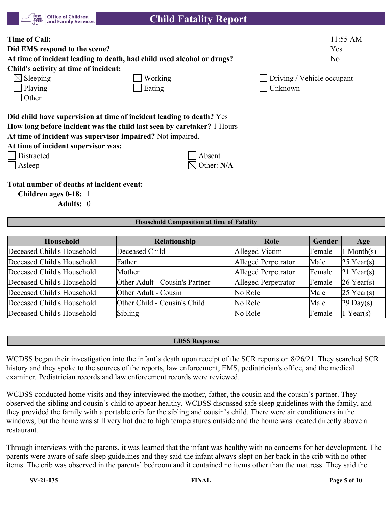|  | <b>STATE</b> Office of Children |
|--|---------------------------------|
|--|---------------------------------|

| <b>Time of Call:</b><br>Did EMS respond to the scene?<br>At time of incident leading to death, had child used alcohol or drugs?<br>Child's activity at time of incident:                                     |            |                            | $11:55$ AM<br>Yes<br>N <sub>o</sub> |
|--------------------------------------------------------------------------------------------------------------------------------------------------------------------------------------------------------------|------------|----------------------------|-------------------------------------|
| $\boxtimes$ Sleeping                                                                                                                                                                                         | Working    | Driving / Vehicle occupant |                                     |
| Playing<br>Other                                                                                                                                                                                             | Eating     | Unknown                    |                                     |
| Did child have supervision at time of incident leading to death? Yes<br>How long before incident was the child last seen by caretaker? 1 Hours<br>At time of incident was supervisor impaired? Not impaired. |            |                            |                                     |
| At time of incident supervisor was:                                                                                                                                                                          |            |                            |                                     |
| Distracted                                                                                                                                                                                                   | Absent     |                            |                                     |
| Asleep                                                                                                                                                                                                       | Other: N/A |                            |                                     |
| Total number of deaths at incident event:<br>Children ages 0-18: 1                                                                                                                                           |            |                            |                                     |

**Adults:** 0

#### **Household Composition at time of Fatality**

| Household                  | Relationship                   | Role                | Gender | Age                 |
|----------------------------|--------------------------------|---------------------|--------|---------------------|
| Deceased Child's Household | Deceased Child                 | Alleged Victim      | Female | 1 Month $(s)$       |
| Deceased Child's Household | Father                         | Alleged Perpetrator | Male   | $25$ Year(s)        |
| Deceased Child's Household | Mother                         | Alleged Perpetrator | Female | $21$ Year(s)        |
| Deceased Child's Household | Other Adult - Cousin's Partner | Alleged Perpetrator | Female | $26$ Year(s)        |
| Deceased Child's Household | Other Adult - Cousin           | No Role             | Male   | $25$ Year(s)        |
| Deceased Child's Household | Other Child - Cousin's Child   | No Role             | Male   | $29 \text{ Day}(s)$ |
| Deceased Child's Household | Sibling                        | No Role             | Female | $1$ Year(s)         |

#### **LDSS Response**

WCDSS began their investigation into the infant's death upon receipt of the SCR reports on 8/26/21. They searched SCR history and they spoke to the sources of the reports, law enforcement, EMS, pediatrician's office, and the medical examiner. Pediatrician records and law enforcement records were reviewed.

WCDSS conducted home visits and they interviewed the mother, father, the cousin and the cousin's partner. They observed the sibling and cousin's child to appear healthy. WCDSS discussed safe sleep guidelines with the family, and they provided the family with a portable crib for the sibling and cousin's child. There were air conditioners in the windows, but the home was still very hot due to high temperatures outside and the home was located directly above a restaurant.

Through interviews with the parents, it was learned that the infant was healthy with no concerns for her development. The parents were aware of safe sleep guidelines and they said the infant always slept on her back in the crib with no other items. The crib was observed in the parents' bedroom and it contained no items other than the mattress. They said the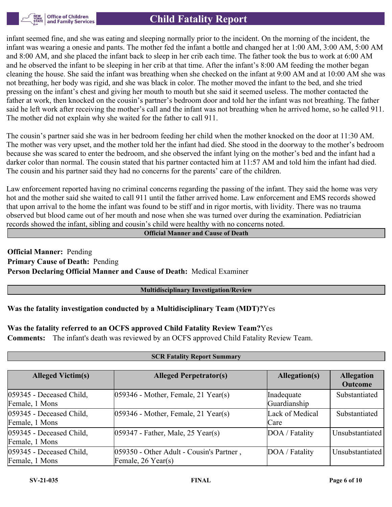

infant seemed fine, and she was eating and sleeping normally prior to the incident. On the morning of the incident, the infant was wearing a onesie and pants. The mother fed the infant a bottle and changed her at 1:00 AM, 3:00 AM, 5:00 AM and 8:00 AM, and she placed the infant back to sleep in her crib each time. The father took the bus to work at 6:00 AM and he observed the infant to be sleeping in her crib at that time. After the infant's 8:00 AM feeding the mother began cleaning the house. She said the infant was breathing when she checked on the infant at 9:00 AM and at 10:00 AM she was not breathing, her body was rigid, and she was black in color. The mother moved the infant to the bed, and she tried pressing on the infant's chest and giving her mouth to mouth but she said it seemed useless. The mother contacted the father at work, then knocked on the cousin's partner's bedroom door and told her the infant was not breathing. The father said he left work after receiving the mother's call and the infant was not breathing when he arrived home, so he called 911. The mother did not explain why she waited for the father to call 911.

The cousin's partner said she was in her bedroom feeding her child when the mother knocked on the door at 11:30 AM. The mother was very upset, and the mother told her the infant had died. She stood in the doorway to the mother's bedroom because she was scared to enter the bedroom, and she observed the infant lying on the mother's bed and the infant had a darker color than normal. The cousin stated that his partner contacted him at 11:57 AM and told him the infant had died. The cousin and his partner said they had no concerns for the parents' care of the children.

Law enforcement reported having no criminal concerns regarding the passing of the infant. They said the home was very hot and the mother said she waited to call 911 until the father arrived home. Law enforcement and EMS records showed that upon arrival to the home the infant was found to be stiff and in rigor mortis, with lividity. There was no trauma observed but blood came out of her mouth and nose when she was turned over during the examination. Pediatrician records showed the infant, sibling and cousin's child were healthy with no concerns noted.

#### **Official Manner and Cause of Death**

**Official Manner:** Pending **Primary Cause of Death:** Pending **Person Declaring Official Manner and Cause of Death:** Medical Examiner

#### **Multidisciplinary Investigation/Review**

#### **Was the fatality investigation conducted by a Multidisciplinary Team (MDT)?**Yes

**Was the fatality referred to an OCFS approved Child Fatality Review Team?**Yes **Comments:** The infant's death was reviewed by an OCFS approved Child Fatality Review Team.

| <b>Alleged Victim(s)</b>                   | <b>Alleged Perpetrator(s)</b>                                  | Allegation(s)              | <b>Allegation</b><br><b>Outcome</b> |
|--------------------------------------------|----------------------------------------------------------------|----------------------------|-------------------------------------|
| 059345 - Deceased Child,<br>Female, 1 Mons | $ 059346$ - Mother, Female, 21 Year(s)                         | Inadequate<br>Guardianship | Substantiated                       |
| 059345 - Deceased Child,<br>Female, 1 Mons | $ 059346$ - Mother, Female, 21 Year(s)                         | Lack of Medical<br>Care    | Substantiated                       |
| 059345 - Deceased Child,<br>Female, 1 Mons | $ 059347 - \text{Father}, \text{Male}, 25 \text{ Year}(s) $    | DOA / Fatality             | Unsubstantiated                     |
| 059345 - Deceased Child,<br>Female, 1 Mons | 059350 - Other Adult - Cousin's Partner,<br>Female, 26 Year(s) | DOA / Fatality             | Unsubstantiated                     |

#### **SCR Fatality Report Summary**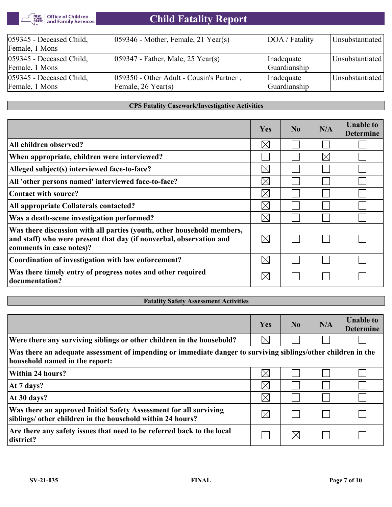

| 059345 - Deceased Child, | $ 059346$ - Mother, Female, 21 Year(s)    | DOA / Fatality | Unsubstantiated |
|--------------------------|-------------------------------------------|----------------|-----------------|
| Female, 1 Mons           |                                           |                |                 |
| 059345 - Deceased Child, | $ 059347 -$ Father, Male, 25 Year(s)      | Inadequate     | Unsubstantiated |
| Female, 1 Mons           |                                           | Guardianship   |                 |
| 059345 - Deceased Child, | [059350 - Other Adult - Cousin's Partner, | Inadequate     | Unsubstantiated |
| Female, 1 Mons           | Female, $26$ Year(s)                      | Guardianship   |                 |
|                          |                                           |                |                 |

#### **CPS Fatality Casework/Investigative Activities**

|                                                                                                                                                                           | Yes         | No | N/A         | <b>Unable to</b><br><b>Determine</b> |
|---------------------------------------------------------------------------------------------------------------------------------------------------------------------------|-------------|----|-------------|--------------------------------------|
| All children observed?                                                                                                                                                    | $\boxtimes$ |    |             |                                      |
| When appropriate, children were interviewed?                                                                                                                              |             |    | $\boxtimes$ |                                      |
| Alleged subject(s) interviewed face-to-face?                                                                                                                              | $\boxtimes$ |    |             |                                      |
| All 'other persons named' interviewed face-to-face?                                                                                                                       | $\boxtimes$ |    |             |                                      |
| Contact with source?                                                                                                                                                      | $\times$    |    |             |                                      |
| All appropriate Collaterals contacted?                                                                                                                                    | $\boxtimes$ |    |             |                                      |
| Was a death-scene investigation performed?                                                                                                                                | $\boxtimes$ |    |             |                                      |
| Was there discussion with all parties (youth, other household members,<br>and staff) who were present that day (if nonverbal, observation and<br>comments in case notes)? | $\boxtimes$ |    |             |                                      |
| Coordination of investigation with law enforcement?                                                                                                                       | $\boxtimes$ |    |             |                                      |
| Was there timely entry of progress notes and other required<br>documentation?                                                                                             | $\boxtimes$ |    |             |                                      |

# **Fatality Safety Assessment Activities**

|                                                                                                                                                 | Yes         | N <sub>0</sub> | N/A | <b>Unable to</b><br><b>Determine</b> |
|-------------------------------------------------------------------------------------------------------------------------------------------------|-------------|----------------|-----|--------------------------------------|
| Were there any surviving siblings or other children in the household?                                                                           | $\boxtimes$ |                |     |                                      |
| Was there an adequate assessment of impending or immediate danger to surviving siblings/other children in the<br>household named in the report: |             |                |     |                                      |
| Within 24 hours?                                                                                                                                | $\times$    |                |     |                                      |
| At 7 days?                                                                                                                                      | $\boxtimes$ |                |     |                                      |
| At 30 days?                                                                                                                                     | $\boxtimes$ |                |     |                                      |
| Was there an approved Initial Safety Assessment for all surviving<br>siblings/ other children in the household within 24 hours?                 | $\boxtimes$ |                |     |                                      |
| Are there any safety issues that need to be referred back to the local<br>district?                                                             |             | $\boxtimes$    |     |                                      |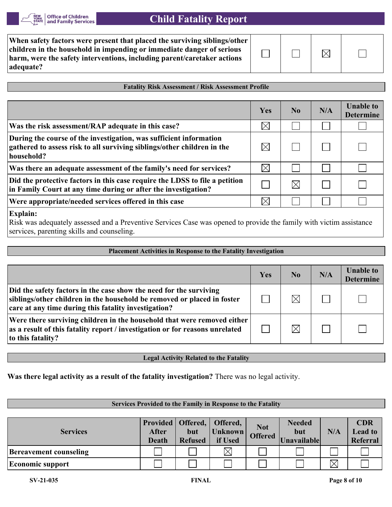

| When safety factors were present that placed the surviving siblings/other<br>children in the household in impending or immediate danger of serious<br>harm, were the safety interventions, including parent/caretaker actions<br>adequate? |  |  |  |  |
|--------------------------------------------------------------------------------------------------------------------------------------------------------------------------------------------------------------------------------------------|--|--|--|--|
|--------------------------------------------------------------------------------------------------------------------------------------------------------------------------------------------------------------------------------------------|--|--|--|--|

#### **Fatality Risk Assessment / Risk Assessment Profile**

|                                                                                                                                                             | Yes         | $\bf No$ | N/A | <b>Unable to</b><br><b>Determine</b> |
|-------------------------------------------------------------------------------------------------------------------------------------------------------------|-------------|----------|-----|--------------------------------------|
| Was the risk assessment/RAP adequate in this case?                                                                                                          | $\boxtimes$ |          |     |                                      |
| During the course of the investigation, was sufficient information<br>gathered to assess risk to all surviving siblings/other children in the<br>household? |             |          |     |                                      |
| Was there an adequate assessment of the family's need for services?                                                                                         | $\boxtimes$ |          |     |                                      |
| Did the protective factors in this case require the LDSS to file a petition<br>in Family Court at any time during or after the investigation?               |             |          |     |                                      |
| Were appropriate/needed services offered in this case                                                                                                       |             |          |     |                                      |
| $ $ Fynlain $\cdot$                                                                                                                                         |             |          |     |                                      |

**Explain:**

Risk was adequately assessed and a Preventive Services Case was opened to provide the family with victim assistance services, parenting skills and counseling.

| <b>Placement Activities in Response to the Fatality Investigation</b>                                                                                                                                 |     |                |     |                                      |  |  |  |  |
|-------------------------------------------------------------------------------------------------------------------------------------------------------------------------------------------------------|-----|----------------|-----|--------------------------------------|--|--|--|--|
|                                                                                                                                                                                                       |     |                |     |                                      |  |  |  |  |
|                                                                                                                                                                                                       | Yes | N <sub>0</sub> | N/A | <b>Unable to</b><br><b>Determine</b> |  |  |  |  |
| Did the safety factors in the case show the need for the surviving<br>siblings/other children in the household be removed or placed in foster<br>care at any time during this fatality investigation? |     |                |     |                                      |  |  |  |  |
| Were there surviving children in the household that were removed either<br>as a result of this fatality report / investigation or for reasons unrelated<br>to this fatality?                          |     |                |     |                                      |  |  |  |  |

**Legal Activity Related to the Fatality**

**Was there legal activity as a result of the fatality investigation?** There was no legal activity.

#### **Services Provided to the Family in Response to the Fatality**

| <b>Services</b>               | After<br><b>Death</b> | but<br><b>Refused</b> | Provided   Offered,   Offered,<br>Unknown<br>if Used | <b>Not</b><br><b>Offered</b> | <b>Needed</b><br>but<br>Unavailable | N/A | <b>CDR</b><br><b>Lead to</b><br>Referral |
|-------------------------------|-----------------------|-----------------------|------------------------------------------------------|------------------------------|-------------------------------------|-----|------------------------------------------|
| <b>Bereavement counseling</b> |                       |                       |                                                      |                              |                                     |     |                                          |
| <b>Economic support</b>       |                       |                       |                                                      |                              |                                     |     |                                          |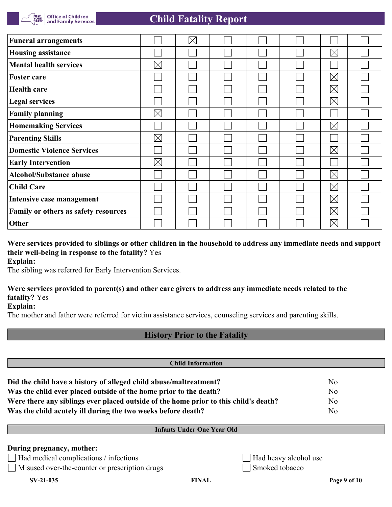

| <b>Funeral arrangements</b>          |             | $\boxtimes$ |  |             |  |
|--------------------------------------|-------------|-------------|--|-------------|--|
| <b>Housing assistance</b>            |             |             |  | $\boxtimes$ |  |
| <b>Mental health services</b>        | $\boxtimes$ |             |  |             |  |
| <b>Foster care</b>                   |             |             |  | $\boxtimes$ |  |
| <b>Health care</b>                   |             |             |  | $\boxtimes$ |  |
| <b>Legal services</b>                |             |             |  | $\boxtimes$ |  |
| <b>Family planning</b>               | $\boxtimes$ |             |  |             |  |
| <b>Homemaking Services</b>           |             |             |  | $\boxtimes$ |  |
| <b>Parenting Skills</b>              | $\boxtimes$ |             |  |             |  |
| <b>Domestic Violence Services</b>    |             |             |  | $\boxtimes$ |  |
| <b>Early Intervention</b>            | $\boxtimes$ |             |  |             |  |
| <b>Alcohol/Substance abuse</b>       |             |             |  | $\boxtimes$ |  |
| <b>Child Care</b>                    |             |             |  | $\boxtimes$ |  |
| Intensive case management            |             |             |  | $\boxtimes$ |  |
| Family or others as safety resources |             |             |  | $\boxtimes$ |  |
| Other                                |             |             |  | $\boxtimes$ |  |

**Were services provided to siblings or other children in the household to address any immediate needs and support their well-being in response to the fatality?** Yes **Explain:**

The sibling was referred for Early Intervention Services.

## **Were services provided to parent(s) and other care givers to address any immediate needs related to the fatality?** Yes

**Explain:**

The mother and father were referred for victim assistance services, counseling services and parenting skills.

## **History Prior to the Fatality**

| <b>Child Information</b>                                                             |                |  |  |  |
|--------------------------------------------------------------------------------------|----------------|--|--|--|
| Did the child have a history of alleged child abuse/maltreatment?                    | N <sub>0</sub> |  |  |  |
| Was the child ever placed outside of the home prior to the death?                    | N <sub>0</sub> |  |  |  |
| Were there any siblings ever placed outside of the home prior to this child's death? | N <sub>0</sub> |  |  |  |
| Was the child acutely ill during the two weeks before death?                         | No             |  |  |  |

#### **Infants Under One Year Old**

#### **During pregnancy, mother:**

 $\Box$  Had medical complications / infections  $\Box$ 

Misused over-the-counter or prescription drugs Smoked tobacco